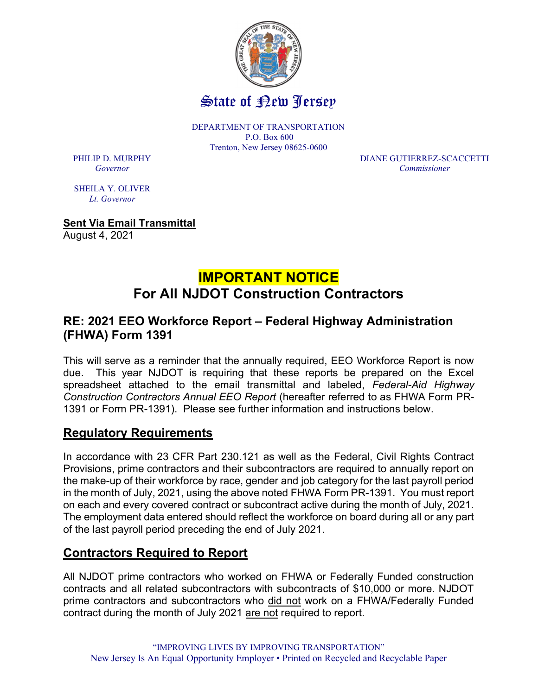

DEPARTMENT OF TRANSPORTATION P.O. Box 600 Trenton, New Jersey 08625-0600

PHILIP D. MURPHY DIANE GUTIERREZ-SCACCETTI Governor Commissioner

SHEILA Y. OLIVER Lt. Governor

Sent Via Email Transmittal August 4, 2021

# IMPORTANT NOTICE For All NJDOT Construction Contractors

#### RE: 2021 EEO Workforce Report – Federal Highway Administration (FHWA) Form 1391

This will serve as a reminder that the annually required, EEO Workforce Report is now due. This year NJDOT is requiring that these reports be prepared on the Excel spreadsheet attached to the email transmittal and labeled, Federal-Aid Highway Construction Contractors Annual EEO Report (hereafter referred to as FHWA Form PR-1391 or Form PR-1391). Please see further information and instructions below.

## Regulatory Requirements

In accordance with 23 CFR Part 230.121 as well as the Federal, Civil Rights Contract Provisions, prime contractors and their subcontractors are required to annually report on the make-up of their workforce by race, gender and job category for the last payroll period in the month of July, 2021, using the above noted FHWA Form PR-1391. You must report on each and every covered contract or subcontract active during the month of July, 2021. The employment data entered should reflect the workforce on board during all or any part of the last payroll period preceding the end of July 2021.

## Contractors Required to Report

All NJDOT prime contractors who worked on FHWA or Federally Funded construction contracts and all related subcontractors with subcontracts of \$10,000 or more. NJDOT prime contractors and subcontractors who did not work on a FHWA/Federally Funded contract during the month of July 2021 are not required to report.